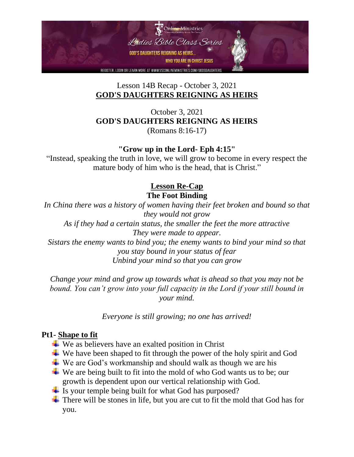

October 3, 2021 **GOD'S DAUGHTERS REIGNING AS HEIRS** (Romans 8:16-17)

**"Grow up in the Lord- Eph 4:15"**

"Instead, speaking the truth in love, we will grow to become in every respect the mature body of him who is the head, that is Christ."

## **Lesson Re-Cap**

**The Foot Binding**

*In China there was a history of women having their feet broken and bound so that they would not grow As if they had a certain status, the smaller the feet the more attractive They were made to appear. Sistars the enemy wants to bind you; the enemy wants to bind your mind so that you stay bound in your status of fear Unbind your mind so that you can grow*

*Change your mind and grow up towards what is ahead so that you may not be bound. You can't grow into your full capacity in the Lord if your still bound in your mind.* 

*Everyone is still growing; no one has arrived!*

#### **Pt1- Shape to fit**

- $\ddot{\bullet}$  We as believers have an exalted position in Christ
- $\overline{\mathbf{u}}$  We have been shaped to fit through the power of the holy spirit and God
- $\overline{\textbf{H}}$  We are God's workmanship and should walk as though we are his
- $\overline{\mathbf{u}}$  We are being built to fit into the mold of who God wants us to be; our growth is dependent upon our vertical relationship with God.
- $\overline{\phantom{a}}$  Is your temple being built for what God has purposed?
- $\overline{\text{I}}$  There will be stones in life, but you are cut to fit the mold that God has for you.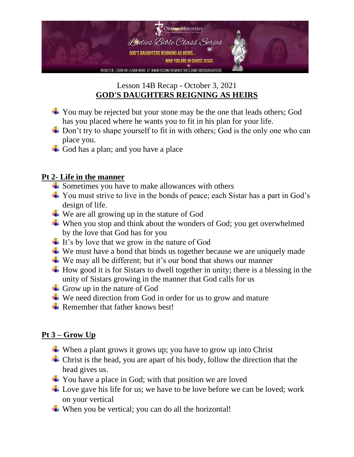

- $\overline{\phantom{a}}$  You may be rejected but your stone may be the one that leads others; God has you placed where he wants you to fit in his plan for your life.
- $\overline{\phantom{a}}$  Don't try to shape yourself to fit in with others; God is the only one who can place you.
- God has a plan; and you have a place

### **Pt 2- Life in the manner**

- $\overline{\phantom{a}}$  Sometimes you have to make allowances with others
- $\overline{\phantom{a}}$  You must strive to live in the bonds of peace; each Sistar has a part in God's design of life.
- $\overline{\phantom{a}}$  We are all growing up in the stature of God
- $\overline{\mathbf{u}}$  When you stop and think about the wonders of God; you get overwhelmed by the love that God has for you
- $\pm$  It's by love that we grow in the nature of God
- $\overline{\phantom{a}}$  We must have a bond that binds us together because we are uniquely made
- $\overline{\mathbf{u}}$  We may all be different; but it's our bond that shows our manner
- $\overline{\text{H}}$  How good it is for Sistars to dwell together in unity; there is a blessing in the unity of Sistars growing in the manner that God calls for us
- $\overline{\phantom{a}}$  Grow up in the nature of God
- $\ddot{\bullet}$  We need direction from God in order for us to grow and mature
- Remember that father knows best!

# **Pt 3 – Grow Up**

- $\overline{\mathbf{u}}$  When a plant grows it grows up; you have to grow up into Christ
- $\overline{\phantom{a}}$  Christ is the head, you are apart of his body, follow the direction that the head gives us.
- $\overline{\phantom{a}}$  You have a place in God; with that position we are loved
- Love gave his life for us; we have to be love before we can be loved; work on your vertical
- $\ddot{\bullet}$  When you be vertical; you can do all the horizontal!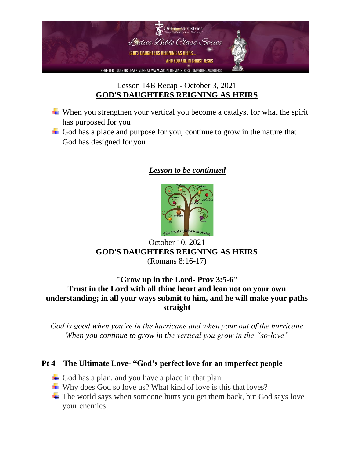

- $\ddot{\bullet}$  When you strengthen your vertical you become a catalyst for what the spirit has purposed for you
- God has a place and purpose for you; continue to grow in the nature that God has designed for you

## *Lesson to be continued*



# October 10, 2021 **GOD'S DAUGHTERS REIGNING AS HEIRS** (Romans 8:16-17)

#### **"Grow up in the Lord- Prov 3:5-6" Trust in the Lord with all thine heart and lean not on your own understanding; in all your ways submit to him, and he will make your paths straight**

*God is good when you're in the hurricane and when your out of the hurricane When you continue to grow in the vertical you grow in the "so-love"*

#### **Pt 4 – The Ultimate Love- "God's perfect love for an imperfect people**

- God has a plan, and you have a place in that plan
- Why does God so love us? What kind of love is this that loves?
- $\pm$  The world says when someone hurts you get them back, but God says love your enemies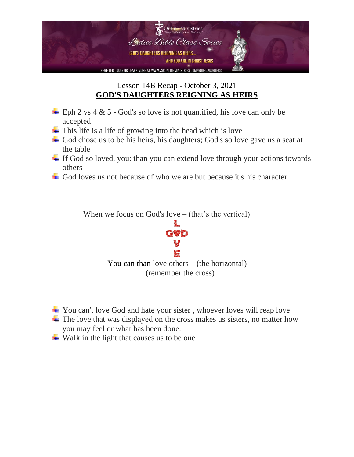

- $\pm$  Eph 2 vs 4 & 5 God's so love is not quantified, his love can only be accepted
- $\overline{\phantom{a}}$  This life is a life of growing into the head which is love
- God chose us to be his heirs, his daughters; God's so love gave us a seat at the table
- $\overline{\phantom{a}}$  If God so loved, you: than you can extend love through your actions towards others
- God loves us not because of who we are but because it's his character

When we focus on God's love – (that's the vertical)



- **→** You can't love God and hate your sister, whoever loves will reap love
- $\overline{\mathbf{I}}$  The love that was displayed on the cross makes us sisters, no matter how you may feel or what has been done.
- $\overline{\text{ }}$  Walk in the light that causes us to be one